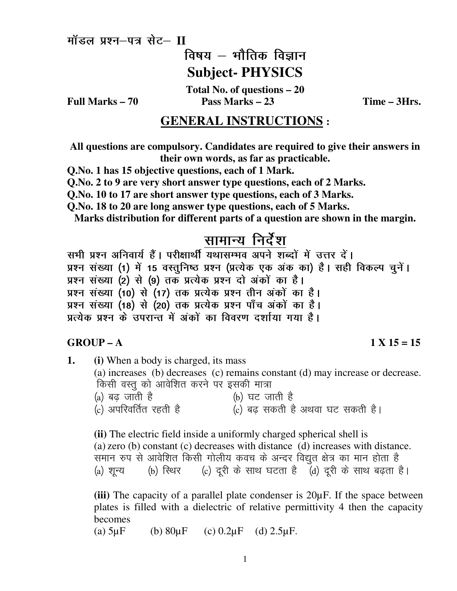**Higman** High- VI

विषय $-$  भौतिक विज्ञान

# **Subject- PHYSICS**

**Total No. of questions – 20 Full Marks – 70 Pass Marks – 23 Time – 3Hrs.** 

## **GENERAL INSTRUCTIONS :**

**All questions are compulsory. Candidates are required to give their answers in their own words, as far as practicable.** 

**Q.No. 1 has 15 objective questions, each of 1 Mark.**

**Q.No. 2 to 9 are very short answer type questions, each of 2 Marks.** 

**Q.No. 10 to 17 are short answer type questions, each of 3 Marks.** 

**Q.No. 18 to 20 are long answer type questions, each of 5 Marks.** 

**Marks distribution for different parts of a question are shown in the margin.** 

## सामान्य निर्देश

सभी प्रश्न अनिवार्य हैं। परीक्षार्थी यथासम्भव अपने शब्दों में उत्तर दें। प्रश्न संख्या (1) में 15 वस्तुनिष्ठ प्रश्न (प्रत्येक एक अंक का) है। सही विकल्प चुनें। प्रश्न संख्या (2) से (9) तक प्रत्येक प्रश्न दो अंकों का है। प्रश्न संख्या (10) से (17) तक प्रत्येक प्रश्न तीन अंकों का है। प्रश्न संख्या (18) से (20) तक प्रत्येक प्रश्न पाँच अंकों का है। प्रत्येक प्रश्न के उपरान्त में अंकों का विवरण दर्शाया गया है।

#### **GROUP – A** 1 X 15 = 15

**1. (i)** When a body is charged, its mass (a) increases (b) decreases (c) remains constant (d) may increase or decrease. किसी वस्तू को आवेशित करने पर इसकी मात्रा (a) बढ़ जाती है<br>(c) अपरिवर्तित रहती है (c) बढ सकती है  $(c)$  बढ सकती है अथवा घट सकती है। **(ii)** The electric field inside a uniformly charged spherical shell is

(a) zero (b) constant (c) decreases with distance (d) increases with distance. समान रुप से आवेशित किसी गोलीय कवच के अन्दर विद्युत क्षेत्र का मान होता है (a) शून्य  $\qquad$  (b) रिथर  $\qquad$  (c) दूरी के साथ घटता है  $\qquad \qquad$  (d) दूरी के साथ बढ़ता है।

**(iii)** The capacity of a parallel plate condenser is 20µF. If the space between plates is filled with a dielectric of relative permittivity 4 then the capacity becomes

(a)  $5\mu$ F (b)  $80\mu$ F (c)  $0.2\mu$ F (d)  $2.5\mu$ F.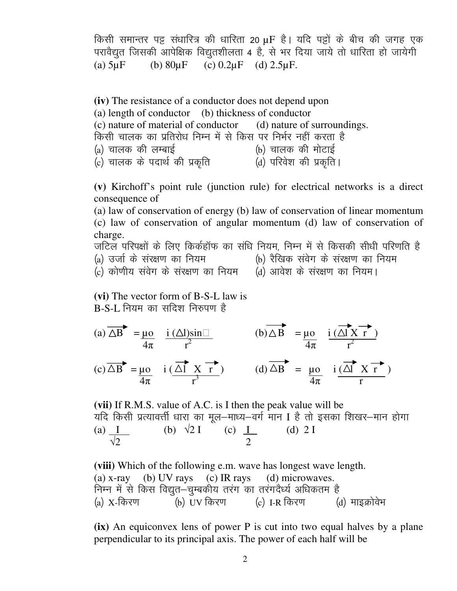किसी समान्तर पट्टू संधारित्र की धारिता 20 µF है। यदि पट्टों के बीच की जगह एक परावैद्युत जिसकी आपेक्षिक विद्युतशीलता 4 है, से भर दिया जाये तो धारिता हो जायेगी (a)  $5\mu$ F (b)  $80\mu$ F (c)  $0.2\mu$ F (d)  $2.5\mu$ F.

**(iv)** The resistance of a conductor does not depend upon (a) length of conductor (b) thickness of conductor (c) nature of material of conductor (d) nature of surroundings. किसी चालक का प्रतिरोध निम्न में से किस पर निर्भर नहीं करता है (a) चालक की लम्बाई (b) चालक की मोटाई (c) चालक के पदार्थ की प्रकृति (d) परिवेश की प्रकृति।

**(v)** Kirchoff's point rule (junction rule) for electrical networks is a direct consequence of

 (a) law of conservation of energy (b) law of conservation of linear momentum (c) law of conservation of angular momentum (d) law of conservation of charge.

जटिल परिपक्षों के लिए किर्कहॉफ का संधि नियम, निम्न में से किसकी सीधी परिणति है (a) उर्जा के संरक्षण का नियम (b) रैखिक संवेग के संरक्षण का नियम (c) कोणीय संवेग के संरक्षण का नियम (d) आवेश के संरक्षण का नियम।

**(vi)** The vector form of B-S-L law is  $B-S-I$ , नियम का सदिश निरुपण है

(a)  $\overline{\triangle B}$  =  $\mu$ o i ( $\triangle$ l)sin (b)  $\triangle B$  =  $\mu$ o i ( $\triangle$ l X r)  $\frac{1}{4\pi}$   $\frac{1}{r^2}$   $\frac{1}{4\pi}$   $\frac{1}{r^2}$  $(c)\Delta B = \mu o$  i  $(\Delta I \times r')$  (d)  $\Delta B = \mu o$  i  $(\Delta I \times r')$  $\frac{1}{4\pi}$  r<sup>3</sup>  $\frac{1}{4\pi}$  r

**(vii)** If R.M.S. value of A.C. is I then the peak value will be यदि किसी प्रत्यावर्त्ती धारा का मूल-माध्य-वर्ग मान I है तो इसका शिखर-मान होगा (a)  $I$  (b)  $\sqrt{2} I$  (c)  $I$  (d) 2 I  $\sqrt{2}$  2

**(viii)** Which of the following e.m. wave has longest wave length. (a) x-ray (b) UV rays (c) IR rays (d) microwaves. निम्न में से किस विद्युत—चुम्बकीय तरंग का तरंगदैर्ध्य अधिकतम है<br>(a) X-किरण (b) UV किरण (c) I-R किरण (  $\tilde{a}$ (b) UV किरण  $\qquad$  (c) I-R किरण  $\qquad$  (d) माइक्रोवेभ

**(ix)** An equiconvex lens of power P is cut into two equal halves by a plane perpendicular to its principal axis. The power of each half will be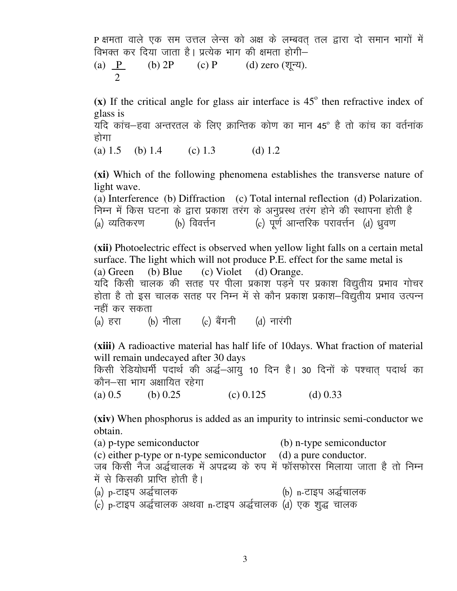P क्षमता वाले एक सम उत्तल लेन्स को अक्ष के लम्बवत तल द्वारा दो समान भागों में विभक्त कर दिया जाता है। प्रत्येक भाग की क्षमता होगी– (a)  $\underline{P}$  (b) 2P (c) P (d) zero (शून्य).  $\mathcal{L}$ 

 $(x)$  If the critical angle for glass air interface is  $45^\circ$  then refractive index of glass is

यदि कांच–हवा अन्तरतल के लिए क्रान्तिक कोण का मान 45º है तो कांच का वर्तनांक होगा

(a)  $1.5$  (b)  $1.4$  (c)  $1.3$  (d)  $1.2$ 

**(xi)** Which of the following phenomena establishes the transverse nature of light wave.

(a) Interference (b) Diffraction (c) Total internal reflection (d) Polarization. निम्न में किस घटना के द्वारा प्रकाश तरंग के अनुप्रस्थ तरंग होने की स्थापना होती है<br>(a) व्यतिकरण (b) विवर्त्तन (c) पूर्ण आन्तरिक परावर्त्तन (d) ध्रवण (c) पूर्ण आन्तरिक परावर्त्तन (d) ध्रुवण

**(xii)** Photoelectric effect is observed when yellow light falls on a certain metal surface. The light which will not produce P.E. effect for the same metal is (a) Green (b) Blue (c) Violet (d) Orange. यदि किसी चालक की सतह पर पीला प्रकाश पडने पर प्रकाश विद्युतीय प्रभाव गोचर होता है तो इस चालक सतह पर निम्न में से कौन प्रकाश प्रकाश–विद्यतीय प्रभाव उत्पन्न नहीं कर सकता

(a) हरा  $\qquad$  (b) नीला (c) बैंगनी (d) नारंगी

**(xiii)** A radioactive material has half life of 10days. What fraction of material will remain undecayed after 30 days

किसी रेडियोधर्मी पदार्थ की अर्द्ध-आयु 10 दिन है। 30 दिनों के पश्चात पदार्थ का कौन–सा भाग अक्षायित रहेगा

(a)  $0.5$  (b)  $0.25$  (c)  $0.125$  (d)  $0.33$ 

**(xiv)** When phosphorus is added as an impurity to intrinsic semi-conductor we obtain.

(a) p-type semiconductor (b) n-type semiconductor (c) either p-type or n-type semiconductor (d) a pure conductor. जब किसी नैज अर्द्धचालक में अपद्रब्य के रूप में फॉसफोरस मिलाया जाता है तो निम्न में से किसकी प्राप्ति होती है। (a) p-टाइप अर्द्धचालक (b) n-टाइप अर्द्धचालक

(c) p-टाइप अर्द्धचालक अथवा n-टाइप अर्द्धचालक (d) एक शुद्ध चालक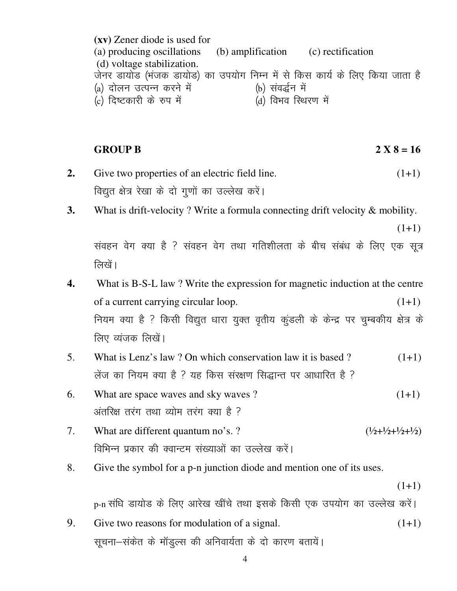**(xv)** Zener diode is used for (a) producing oscillations (b) amplification (c) rectification (d) voltage stabilization. जेनर डायोड (भंजक डायोड) का उपयोग निम्न में से किस कार्य के लिए किया जाता है<br>(a) दोलन उत्पन्न करने में (b) संवर्द्धन में (a) दोलन उत्पन्न करने में (b) संवर्द्धन में<br>(c) दिष्टकारी के रुप में (d) विभव स्थिरण में  $(c)$  दिष्टकारी के रुप में

**GROUP B 2 X 8 = 16** 

- **2.** Give two properties of an electric field line. (1+1) विद्युत क्षेत्र रेखा के दो गुणों का उल्लेख करें।
- **3.** What is drift-velocity ? Write a formula connecting drift velocity & mobility.

 $(1+1)$ 

संवहन वेग क्या है ? संवहन वेग तथा गतिशीलता के बीच संबंध के लिए एक सूत्र लिखें।

- **4.** What is B-S-L law ? Write the expression for magnetic induction at the centre of a current carrying circular loop. (1+1) नियम क्या है ? किसी विद्युत धारा युक्त वृतीय कूंडली के केन्द्र पर चुम्बकीय क्षेत्र के लिए व्यंजक लिखें।
- 5. What is Lenz's law ? On which conservation law it is based ? (1+1) लेंज का नियम क्या है ? यह किस संरक्षण सिद्धान्त पर आधारित है ?
- 6. What are space waves and sky waves ?  $(1+1)$ अंतरिक्ष तरंग तथा व्योम तरंग क्या है ?
- 7. What are different quantum no's. ?  $(\frac{1}{2} + \frac{1}{2} + \frac{1}{2} + \frac{1}{2})$ विभिन्न प्रकार की क्वान्टम संख्याओं का उल्लेख करें।
- 8. Give the symbol for a p-n junction diode and mention one of its uses.

 $(1+1)$ 

p-n संधि डायोड के लिए आरेख खींचे तथा इसके किसी एक उपयोग का उल्लेख करें।

9. Give two reasons for modulation of a signal.  $(1+1)$ सूचना-संकेत के मॉडल्स की अनिवार्यता के दो कारण बतायें।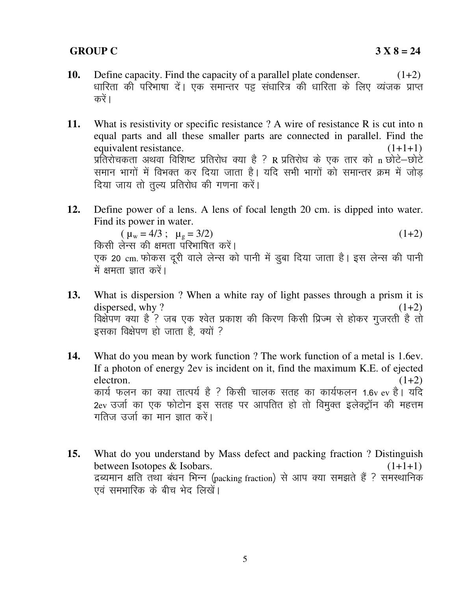### **GROUP C 3 X 8 = 24**

- **10.** Define capacity. Find the capacity of a parallel plate condenser.  $(1+2)$ धारिता की परिभाषा दें। एक समान्तर पड़ संधारित्र की धारिता के लिए व्यंजक प्राप्त करें।
- **11.** What is resistivity or specific resistance ? A wire of resistance R is cut into n equal parts and all these smaller parts are connected in parallel. Find the equivalent resistance.  $(1+1+1)$ प्रतिरोचकता अथवा विशिष्ट प्रतिरोध क्या है ? R प्रतिरोध के एक तार को n छोटे-छोटे समान भागों में विभक्त कर दिया जाता है। यदि सभी भागों को समान्तर क्रम में जोड दिया जाय तो तुल्य प्रतिरोध की गणना करें।
- **12.** Define power of a lens. A lens of focal length 20 cm. is dipped into water. Find its power in water.

 $(\mu_w = 4/3; \mu_g = 3/2)$  (1+2) किसी लेन्स की क्षमता परिभाषित करें। एक 20 cm. फोकस दूरी वाले लेन्स को पानी में डूबा दिया जाता है। इस लेन्स की पानी में क्षमता ज्ञात करें।

- **13.** What is dispersion ? When a white ray of light passes through a prism it is dispersed, why ?  $(1+2)$ विक्षेपण क्या है ? जब एक श्वेत प्रकाश की किरण किसी प्रिज्म से होकर गुजरती है तो इसका विक्षेपण हो जाता है, क्यों ?
- **14.** What do you mean by work function ? The work function of a metal is 1.6ev. If a photon of energy 2ev is incident on it, find the maximum K.E. of ejected electron.  $(1+2)$ कार्य फलन का क्या तात्पर्य है ? किसी चालक सतह का कार्यफलन 1.6v ev है। यदि 2ev उर्जा का एक फोटोन इस सतह पर आपतित हो तो विमुक्त इलेक्ट्रॉन की महत्तम गतिज उर्जा का मान ज्ञात करें।
- **15.** What do you understand by Mass defect and packing fraction ? Distinguish between Isotopes & Isobars. (1+1+1) द्रव्यमान क्षति तथा बंधन भिन्न (packing fraction) से आप क्या समझते हैं ? समस्थानिक एवं समभारिक के बीच भेद लिखें।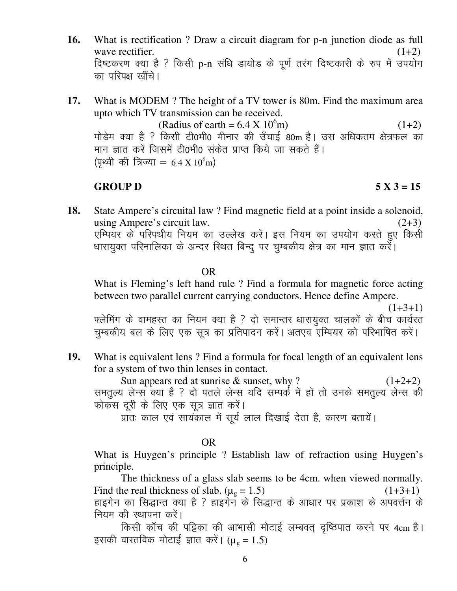- **16.** What is rectification ? Draw a circuit diagram for p-n junction diode as full wave rectifier.  $(1+2)$ दिष्टकरण क्या है ? किसी p-n संधि डायोड के पूर्ण तरंग दिष्टकारी के रुप में उपयोग का परिपक्ष खींचे।
- **17.** What is MODEM ? The height of a TV tower is 80m. Find the maximum area upto which TV transmission can be received.  $(Radius of earth = 6.4 X 10<sup>6</sup>m)$  (1+2) मोडेम क्या है ? किसी टी0भी0 मीनार की उँचाई 80m है। उस अधिकतम क्षेत्रफल का मान ज्ञात करें जिसमें टी0भी0 संकेत प्राप्त किये जा सकते हैं।

(पृथ्वी की त्रिज्या = 6.4 X 10<sup>6</sup>m)

#### **GROUP D 5 X 3 = 15**

**18.** State Ampere's circuital law ? Find magnetic field at a point inside a solenoid, using Ampere's circuit law.  $(2+3)$ एम्पियर के परिपथीय नियम का उल्लेख करें। इस नियम का उपयोग करते हुए किसी धारायुक्त परिनालिका के अन्दर रिथत बिन्दू पर चुम्बकीय क्षेत्र का मान ज्ञात करें।

OR

 What is Fleming's left hand rule ? Find a formula for magnetic force acting between two parallel current carrying conductors. Hence define Ampere.

 $(1+3+1)$ फ्लेमिंग के वामहस्त का नियम क्या है ? दो समान्तर धारायुक्त चालकों के बीच कार्यरत चुम्बकीय बल के लिए एक सूत्र का प्रतिपादन करें। अतएव एम्पियर को परिभाषित करें।

**19.** What is equivalent lens ? Find a formula for focal length of an equivalent lens for a system of two thin lenses in contact.

Sun appears red at sunrise  $\&$  sunset, why ? (1+2+2) समतुल्य लेन्स क्या है ? दो पतले लेन्स यदि सम्पर्क में हों तो उनके समतुल्य लेन्स की फोकस दूरी के लिए एक सूत्र ज्ञात करें।

प्रांतः काल एवं सायंकाल में सूर्य लाल दिखाई देता है, कारण बतायें।

### OR

 What is Huygen's principle ? Establish law of refraction using Huygen's principle.

The thickness of a glass slab seems to be 4cm. when viewed normally. Find the real thickness of slab.  $(\mu_g = 1.5)$  (1+3+1) हाइगेन का सिद्धान्त क्या है ? हाइगेन के सिद्धान्त के आधार पर प्रकाश के अपवर्त्तन के नियम की स्थापना करें।

किसी काँच की पड़िका की आभासी मोटाई लम्बवत् दृष्ठिपात करने पर 4cm है। इसकी वास्तविक मोटाई ज्ञात करें। ( $\mu_{g} = 1.5$ )